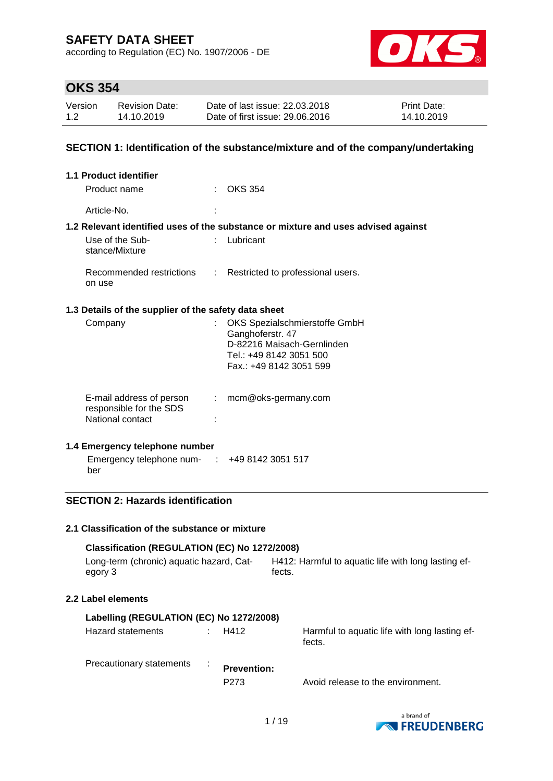according to Regulation (EC) No. 1907/2006 - DE



### **OKS 354**

| Version | <b>Revision Date:</b> | Date of last issue: 22.03.2018  | <b>Print Date:</b> |
|---------|-----------------------|---------------------------------|--------------------|
| 1.2     | 14.10.2019            | Date of first issue: 29,06,2016 | 14.10.2019         |

#### **SECTION 1: Identification of the substance/mixture and of the company/undertaking**

| <b>1.1 Product identifier</b>                        |    |                                                                                                                                       |
|------------------------------------------------------|----|---------------------------------------------------------------------------------------------------------------------------------------|
| Product name                                         |    | $\therefore$ OKS 354                                                                                                                  |
| Article-No.                                          |    |                                                                                                                                       |
|                                                      |    | 1.2 Relevant identified uses of the substance or mixture and uses advised against                                                     |
| Use of the Sub-<br>stance/Mixture                    |    | : Lubricant                                                                                                                           |
| on use                                               |    | Recommended restrictions : Restricted to professional users.                                                                          |
| 1.3 Details of the supplier of the safety data sheet |    |                                                                                                                                       |
| Company                                              |    | OKS Spezialschmierstoffe GmbH<br>Ganghoferstr. 47<br>D-82216 Maisach-Gernlinden<br>Tel.: +49 8142 3051 500<br>Fax.: +49 8142 3051 599 |
| E-mail address of person<br>responsible for the SDS  | t. | mcm@oks-germany.com                                                                                                                   |

### **1.4 Emergency telephone number**

National contact in the set of the set of the set of the set of the set of the set of the set of the set of the set of the set of the set of the set of the set of the set of the set of the set of the set of the set of the

Emergency telephone num-: +49 8142 3051 517 ber

#### **SECTION 2: Hazards identification**

#### **2.1 Classification of the substance or mixture**

| Classification (REGULATION (EC) No 1272/2008) |                                                     |  |  |  |  |
|-----------------------------------------------|-----------------------------------------------------|--|--|--|--|
| Long-term (chronic) aquatic hazard, Cat-      | H412: Harmful to aguatic life with long lasting ef- |  |  |  |  |
| egory 3                                       | fects.                                              |  |  |  |  |

#### **2.2 Label elements**

| Labelling (REGULATION (EC) No 1272/2008) |  |                                        |                                                         |  |  |
|------------------------------------------|--|----------------------------------------|---------------------------------------------------------|--|--|
| Hazard statements                        |  | H412                                   | Harmful to aquatic life with long lasting ef-<br>fects. |  |  |
| Precautionary statements                 |  | <b>Prevention:</b><br>P <sub>273</sub> | Avoid release to the environment.                       |  |  |

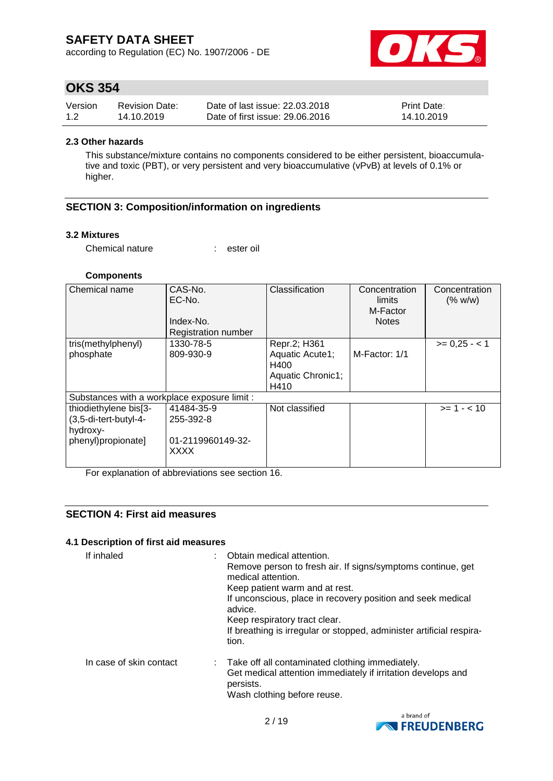according to Regulation (EC) No. 1907/2006 - DE



### **OKS 354**

| Version | <b>Revision Date:</b> | Date of last issue: 22,03,2018  | <b>Print Date:</b> |
|---------|-----------------------|---------------------------------|--------------------|
| 1.2     | 14.10.2019            | Date of first issue: 29.06.2016 | 14.10.2019         |

#### **2.3 Other hazards**

This substance/mixture contains no components considered to be either persistent, bioaccumulative and toxic (PBT), or very persistent and very bioaccumulative (vPvB) at levels of 0.1% or higher.

#### **SECTION 3: Composition/information on ingredients**

#### **3.2 Mixtures**

Chemical nature : ester oil

#### **Components**

| Chemical name                                | CAS-No.<br>EC-No.<br>Index-No.<br><b>Registration number</b> | Classification                  | Concentration<br>limits<br>M-Factor<br><b>Notes</b> | Concentration<br>(% w/w) |
|----------------------------------------------|--------------------------------------------------------------|---------------------------------|-----------------------------------------------------|--------------------------|
| tris(methylphenyl)<br>phosphate              | 1330-78-5<br>809-930-9                                       | Repr.2; H361<br>Aquatic Acute1; | M-Factor: 1/1                                       | $>= 0.25 - 1$            |
|                                              |                                                              | H400                            |                                                     |                          |
|                                              |                                                              | Aquatic Chronic1;<br>H410       |                                                     |                          |
| Substances with a workplace exposure limit : |                                                              |                                 |                                                     |                          |
| thiodiethylene bis[3-                        | 41484-35-9                                                   | Not classified                  |                                                     | $>= 1 - < 10$            |
| (3,5-di-tert-butyl-4-<br>hydroxy-            | 255-392-8                                                    |                                 |                                                     |                          |
| phenyl)propionate]                           | 01-2119960149-32-<br><b>XXXX</b>                             |                                 |                                                     |                          |

For explanation of abbreviations see section 16.

#### **SECTION 4: First aid measures**

#### **4.1 Description of first aid measures**

| If inhaled              | Obtain medical attention.<br>Remove person to fresh air. If signs/symptoms continue, get<br>medical attention.<br>Keep patient warm and at rest.<br>If unconscious, place in recovery position and seek medical<br>advice.<br>Keep respiratory tract clear.<br>If breathing is irregular or stopped, administer artificial respira-<br>tion. |
|-------------------------|----------------------------------------------------------------------------------------------------------------------------------------------------------------------------------------------------------------------------------------------------------------------------------------------------------------------------------------------|
| In case of skin contact | : Take off all contaminated clothing immediately.<br>Get medical attention immediately if irritation develops and<br>persists.<br>Wash clothing before reuse.                                                                                                                                                                                |

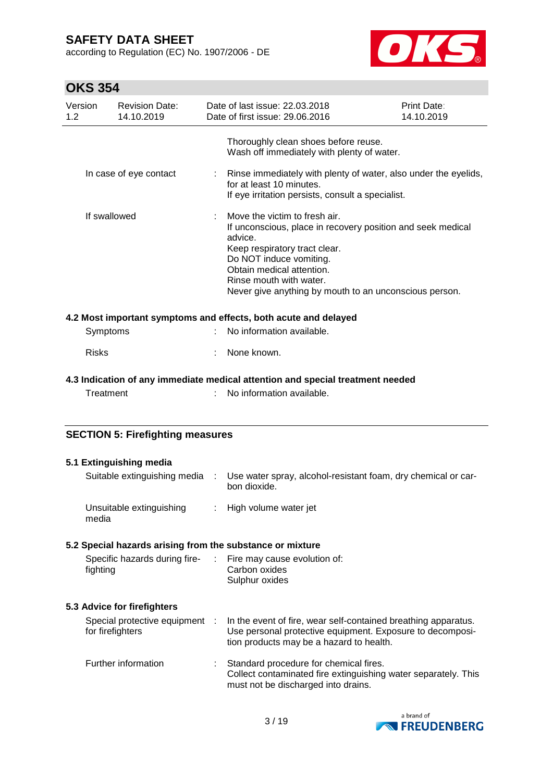according to Regulation (EC) No. 1907/2006 - DE



## **OKS 354**

| Version<br>1.2 | <b>Revision Date:</b><br>14.10.2019 | Date of last issue: 22.03.2018<br>Date of first issue: 29.06.2016                                                                                                                                                                                                                     | <b>Print Date:</b><br>14.10.2019 |
|----------------|-------------------------------------|---------------------------------------------------------------------------------------------------------------------------------------------------------------------------------------------------------------------------------------------------------------------------------------|----------------------------------|
|                |                                     | Thoroughly clean shoes before reuse.<br>Wash off immediately with plenty of water.                                                                                                                                                                                                    |                                  |
|                | In case of eye contact              | Rinse immediately with plenty of water, also under the eyelids,<br>for at least 10 minutes.<br>If eye irritation persists, consult a specialist.                                                                                                                                      |                                  |
| If swallowed   |                                     | Move the victim to fresh air.<br>If unconscious, place in recovery position and seek medical<br>advice.<br>Keep respiratory tract clear.<br>Do NOT induce vomiting.<br>Obtain medical attention.<br>Rinse mouth with water.<br>Never give anything by mouth to an unconscious person. |                                  |
|                |                                     | 4.2 Most important symptoms and effects, both acute and delayed                                                                                                                                                                                                                       |                                  |
| Symptoms       |                                     | No information available.                                                                                                                                                                                                                                                             |                                  |
| <b>Risks</b>   |                                     | None known.                                                                                                                                                                                                                                                                           |                                  |
|                |                                     | 4.3 Indication of any immediate medical attention and special treatment needed                                                                                                                                                                                                        |                                  |
| Treatment      |                                     | No information available.                                                                                                                                                                                                                                                             |                                  |
|                |                                     |                                                                                                                                                                                                                                                                                       |                                  |

### **SECTION 5: Firefighting measures**

| 5.1 Extinguishing media                                                  |               |                                                                                                                                                                         |
|--------------------------------------------------------------------------|---------------|-------------------------------------------------------------------------------------------------------------------------------------------------------------------------|
| Suitable extinguishing media                                             | $\mathcal{L}$ | Use water spray, alcohol-resistant foam, dry chemical or car-<br>bon dioxide.                                                                                           |
| Unsuitable extinguishing<br>media                                        |               | : High volume water jet                                                                                                                                                 |
| 5.2 Special hazards arising from the substance or mixture                |               |                                                                                                                                                                         |
| Specific hazards during fire- : Fire may cause evolution of:<br>fighting |               | Carbon oxides<br>Sulphur oxides                                                                                                                                         |
| 5.3 Advice for firefighters                                              |               |                                                                                                                                                                         |
| Special protective equipment :<br>for firefighters                       |               | In the event of fire, wear self-contained breathing apparatus.<br>Use personal protective equipment. Exposure to decomposi-<br>tion products may be a hazard to health. |
| Further information                                                      |               | : Standard procedure for chemical fires.<br>Collect contaminated fire extinguishing water separately. This<br>must not be discharged into drains.                       |

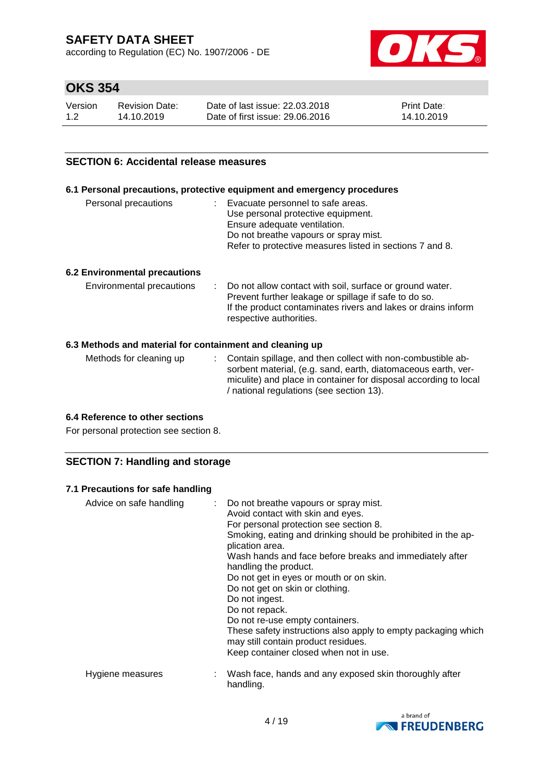according to Regulation (EC) No. 1907/2006 - DE



## **OKS 354**

| Version | <b>Revision Date:</b> | Date of last issue: 22,03,2018  | <b>Print Date:</b> |
|---------|-----------------------|---------------------------------|--------------------|
| 1.2     | 14.10.2019            | Date of first issue: 29,06,2016 | 14.10.2019         |

#### **SECTION 6: Accidental release measures**

#### **6.1 Personal precautions, protective equipment and emergency procedures**

| Personal precautions | : Evacuate personnel to safe areas.                      |
|----------------------|----------------------------------------------------------|
|                      | Use personal protective equipment.                       |
|                      | Ensure adequate ventilation.                             |
|                      | Do not breathe vapours or spray mist.                    |
|                      | Refer to protective measures listed in sections 7 and 8. |

#### **6.2 Environmental precautions**

| Environmental precautions | Do not allow contact with soil, surface or ground water.<br>Prevent further leakage or spillage if safe to do so.<br>If the product contaminates rivers and lakes or drains inform<br>respective authorities. |
|---------------------------|---------------------------------------------------------------------------------------------------------------------------------------------------------------------------------------------------------------|
|                           |                                                                                                                                                                                                               |

#### **6.3 Methods and material for containment and cleaning up**

| Methods for cleaning up | : Contain spillage, and then collect with non-combustible ab-<br>sorbent material, (e.g. sand, earth, diatomaceous earth, ver- |
|-------------------------|--------------------------------------------------------------------------------------------------------------------------------|
|                         | miculite) and place in container for disposal according to local<br>/ national regulations (see section 13).                   |

#### **6.4 Reference to other sections**

For personal protection see section 8.

#### **SECTION 7: Handling and storage**

#### **7.1 Precautions for safe handling**

| Advice on safe handling | : Do not breathe vapours or spray mist.<br>Avoid contact with skin and eyes.<br>For personal protection see section 8.<br>Smoking, eating and drinking should be prohibited in the ap-<br>plication area.<br>Wash hands and face before breaks and immediately after<br>handling the product.<br>Do not get in eyes or mouth or on skin.<br>Do not get on skin or clothing.<br>Do not ingest.<br>Do not repack.<br>Do not re-use empty containers.<br>These safety instructions also apply to empty packaging which<br>may still contain product residues.<br>Keep container closed when not in use. |
|-------------------------|------------------------------------------------------------------------------------------------------------------------------------------------------------------------------------------------------------------------------------------------------------------------------------------------------------------------------------------------------------------------------------------------------------------------------------------------------------------------------------------------------------------------------------------------------------------------------------------------------|
| Hygiene measures        | Wash face, hands and any exposed skin thoroughly after<br>handling.                                                                                                                                                                                                                                                                                                                                                                                                                                                                                                                                  |

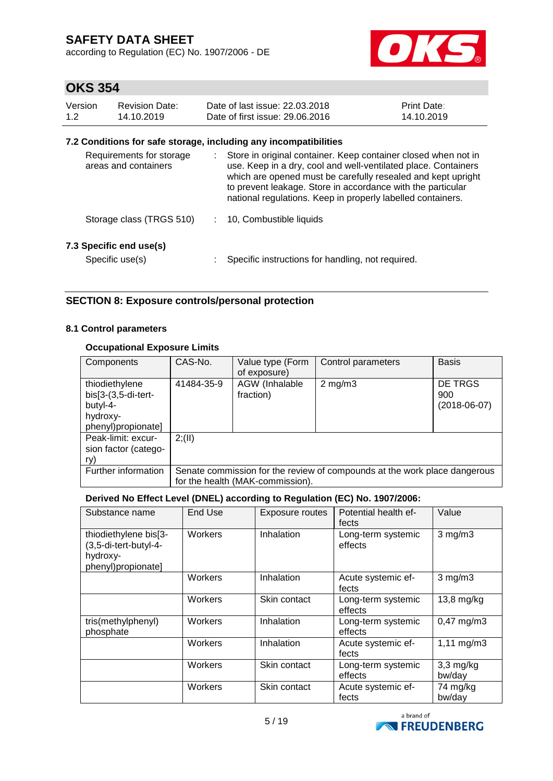according to Regulation (EC) No. 1907/2006 - DE



## **OKS 354**

| Version | Revision Date: | Date of last issue: 22.03.2018  | <b>Print Date:</b> |
|---------|----------------|---------------------------------|--------------------|
| 1.2     | 14.10.2019     | Date of first issue: 29.06.2016 | 14.10.2019         |

#### **7.2 Conditions for safe storage, including any incompatibilities**

| Requirements for storage<br>areas and containers | Store in original container. Keep container closed when not in<br>use. Keep in a dry, cool and well-ventilated place. Containers<br>which are opened must be carefully resealed and kept upright<br>to prevent leakage. Store in accordance with the particular<br>national regulations. Keep in properly labelled containers. |
|--------------------------------------------------|--------------------------------------------------------------------------------------------------------------------------------------------------------------------------------------------------------------------------------------------------------------------------------------------------------------------------------|
| Storage class (TRGS 510)                         | 10, Combustible liquids                                                                                                                                                                                                                                                                                                        |
| 7.3 Specific end use(s)<br>Specific use(s)       | Specific instructions for handling, not required.                                                                                                                                                                                                                                                                              |

#### **SECTION 8: Exposure controls/personal protection**

#### **8.1 Control parameters**

#### **Occupational Exposure Limits**

| Components                                                                            | CAS-No.    | Value type (Form<br>of exposure)   | Control parameters                                                        | <b>Basis</b>                     |
|---------------------------------------------------------------------------------------|------------|------------------------------------|---------------------------------------------------------------------------|----------------------------------|
| thiodiethylene<br>$bis[3-(3,5-di-tert-$<br>butyl-4-<br>hydroxy-<br>phenyl)propionate] | 41484-35-9 | <b>AGW</b> (Inhalable<br>fraction) | $2$ mg/m $3$                                                              | DE TRGS<br>900<br>$(2018-06-07)$ |
| Peak-limit: excur-<br>sion factor (catego-<br>ry)                                     | 2; (II)    |                                    |                                                                           |                                  |
| Further information                                                                   |            | for the health (MAK-commission).   | Senate commission for the review of compounds at the work place dangerous |                                  |

#### **Derived No Effect Level (DNEL) according to Regulation (EC) No. 1907/2006:**

| Substance name                                                                   | End Use | <b>Exposure routes</b> | Potential health ef-<br>fects | Value                  |
|----------------------------------------------------------------------------------|---------|------------------------|-------------------------------|------------------------|
| thiodiethylene bis[3-<br>(3,5-di-tert-butyl-4-<br>hydroxy-<br>phenyl)propionate] | Workers | Inhalation             | Long-term systemic<br>effects | $3$ mg/m $3$           |
|                                                                                  | Workers | Inhalation             | Acute systemic ef-<br>fects   | $3$ mg/m $3$           |
|                                                                                  | Workers | Skin contact           | Long-term systemic<br>effects | 13,8 mg/kg             |
| tris(methylphenyl)<br>phosphate                                                  | Workers | Inhalation             | Long-term systemic<br>effects | $0,47 \text{ mg/m}$ 3  |
|                                                                                  | Workers | Inhalation             | Acute systemic ef-<br>fects   | $1,11 \, \text{mg/m3}$ |
|                                                                                  | Workers | Skin contact           | Long-term systemic<br>effects | $3,3$ mg/kg<br>bw/day  |
|                                                                                  | Workers | Skin contact           | Acute systemic ef-<br>fects   | 74 mg/kg<br>bw/day     |

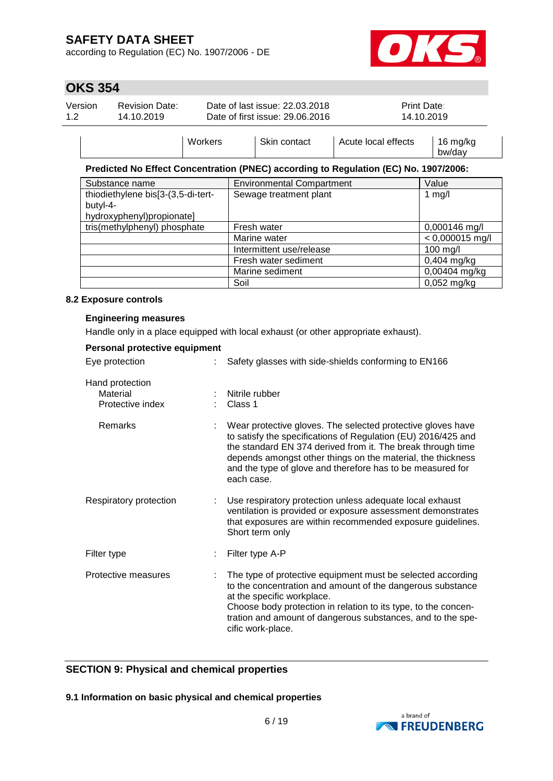according to Regulation (EC) No. 1907/2006 - DE



bw/day

### **OKS 354**

| Version<br>12 | <b>Revision Date:</b><br>14.10.2019 |         | Date of last issue: 22.03.2018<br>Date of first issue: 29.06.2016 |                     | <b>Print Date:</b><br>14.10.2019 |
|---------------|-------------------------------------|---------|-------------------------------------------------------------------|---------------------|----------------------------------|
|               |                                     | Workers | Skin contact                                                      | Acute local effects | 16 mg/kg                         |

#### **Predicted No Effect Concentration (PNEC) according to Regulation (EC) No. 1907/2006:**

| Substance name                     | <b>Environmental Compartment</b> | Value             |
|------------------------------------|----------------------------------|-------------------|
| thiodiethylene bis[3-(3,5-di-tert- | Sewage treatment plant           | 1 $mg/l$          |
| butyl-4-                           |                                  |                   |
| hydroxyphenyl)propionate]          |                                  |                   |
| tris(methylphenyl) phosphate       | Fresh water                      | 0,000146 mg/l     |
|                                    | Marine water                     | $< 0,000015$ mg/l |
|                                    | Intermittent use/release         | 100 mg/l          |
|                                    | Fresh water sediment             | $0,404$ mg/kg     |
|                                    | Marine sediment                  | 0,00404 mg/kg     |
|                                    | Soil                             | $0,052$ mg/kg     |

#### **8.2 Exposure controls**

#### **Engineering measures**

Handle only in a place equipped with local exhaust (or other appropriate exhaust).

| Personal protective equipment                   |                                                                                                                                                                                                                                                                                                                                        |
|-------------------------------------------------|----------------------------------------------------------------------------------------------------------------------------------------------------------------------------------------------------------------------------------------------------------------------------------------------------------------------------------------|
| Eye protection                                  | Safety glasses with side-shields conforming to EN166                                                                                                                                                                                                                                                                                   |
| Hand protection<br>Material<br>Protective index | Nitrile rubber<br>Class 1                                                                                                                                                                                                                                                                                                              |
| Remarks                                         | Wear protective gloves. The selected protective gloves have<br>to satisfy the specifications of Regulation (EU) 2016/425 and<br>the standard EN 374 derived from it. The break through time<br>depends amongst other things on the material, the thickness<br>and the type of glove and therefore has to be measured for<br>each case. |
| Respiratory protection                          | Use respiratory protection unless adequate local exhaust<br>ventilation is provided or exposure assessment demonstrates<br>that exposures are within recommended exposure guidelines.<br>Short term only                                                                                                                               |
| Filter type                                     | Filter type A-P                                                                                                                                                                                                                                                                                                                        |
| Protective measures                             | The type of protective equipment must be selected according<br>to the concentration and amount of the dangerous substance<br>at the specific workplace.<br>Choose body protection in relation to its type, to the concen-<br>tration and amount of dangerous substances, and to the spe-<br>cific work-place.                          |

#### **SECTION 9: Physical and chemical properties**

**9.1 Information on basic physical and chemical properties**

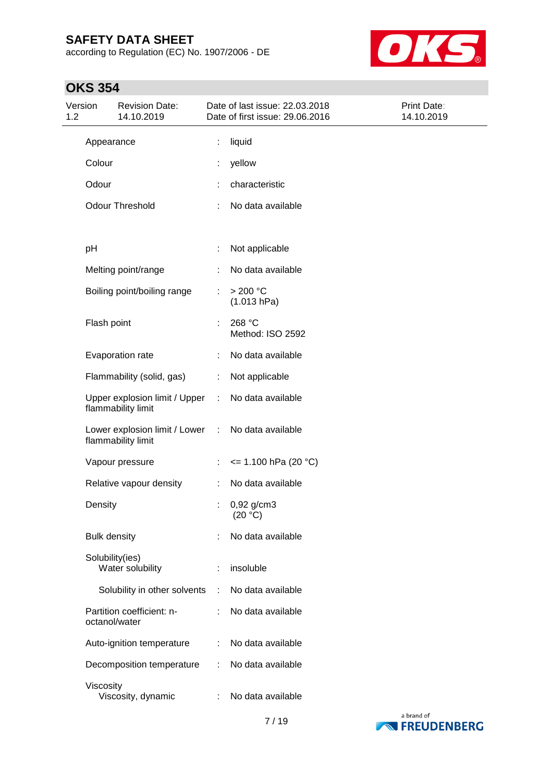according to Regulation (EC) No. 1907/2006 - DE



## **OKS 354**

| 1.2 | Version             | <b>Revision Date:</b><br>14.10.2019                   |    | Date of last issue: 22.03.2018<br>Date of first issue: 29.06.2016 | Print Date:<br>14.10.2019 |
|-----|---------------------|-------------------------------------------------------|----|-------------------------------------------------------------------|---------------------------|
|     | Appearance          |                                                       | t. | liquid                                                            |                           |
|     | Colour              |                                                       |    | yellow                                                            |                           |
|     | Odour               |                                                       |    | characteristic                                                    |                           |
|     |                     | <b>Odour Threshold</b>                                |    | No data available                                                 |                           |
|     | pH                  |                                                       |    | Not applicable                                                    |                           |
|     |                     | Melting point/range                                   |    | No data available                                                 |                           |
|     |                     | Boiling point/boiling range                           | t, | >200 °C<br>(1.013 hPa)                                            |                           |
|     | Flash point         |                                                       | ÷  | 268 °C<br>Method: ISO 2592                                        |                           |
|     |                     | Evaporation rate                                      | ÷. | No data available                                                 |                           |
|     |                     | Flammability (solid, gas)                             | ÷  | Not applicable                                                    |                           |
|     |                     | Upper explosion limit / Upper<br>flammability limit   | ÷  | No data available                                                 |                           |
|     |                     | Lower explosion limit / Lower :<br>flammability limit |    | No data available                                                 |                           |
|     |                     | Vapour pressure                                       | t. | $\le$ 1.100 hPa (20 °C)                                           |                           |
|     |                     | Relative vapour density                               | ÷. | No data available                                                 |                           |
|     | Density             |                                                       |    | $0,92$ g/cm3<br>(20 °C)                                           |                           |
|     | <b>Bulk density</b> |                                                       |    | No data available                                                 |                           |
|     | Solubility(ies)     | Water solubility                                      |    | insoluble                                                         |                           |
|     |                     | Solubility in other solvents                          |    | No data available                                                 |                           |
|     | octanol/water       | Partition coefficient: n-                             |    | No data available                                                 |                           |
|     |                     | Auto-ignition temperature                             |    | No data available                                                 |                           |
|     |                     | Decomposition temperature                             |    | No data available                                                 |                           |
|     | Viscosity           | Viscosity, dynamic                                    |    | No data available                                                 |                           |

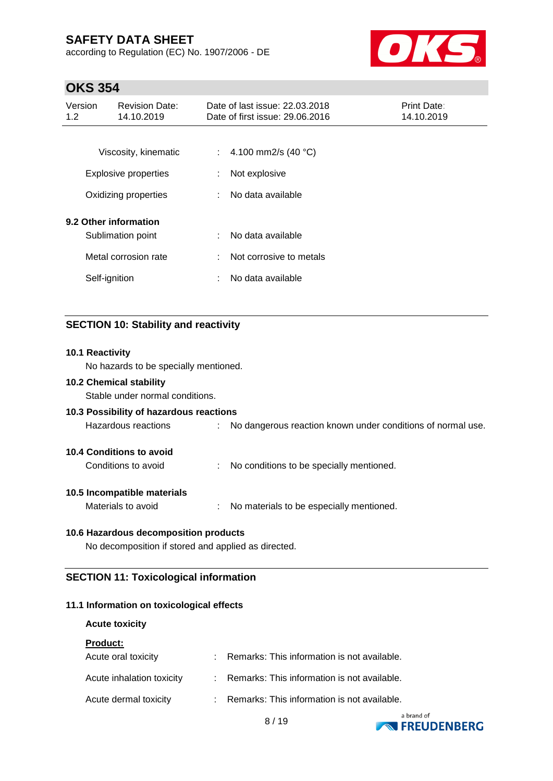according to Regulation (EC) No. 1907/2006 - DE



### **OKS 354**

| Version<br>1.2 | <b>Revision Date:</b><br>14.10.2019        | Date of last issue: 22.03.2018<br>Date of first issue: 29.06.2016 | <b>Print Date:</b><br>14.10.2019 |
|----------------|--------------------------------------------|-------------------------------------------------------------------|----------------------------------|
|                | Viscosity, kinematic                       | 4.100 mm2/s $(40 °C)$<br>÷.                                       |                                  |
|                | Explosive properties                       | Not explosive<br>÷                                                |                                  |
|                | Oxidizing properties                       | No data available<br>÷.                                           |                                  |
|                | 9.2 Other information<br>Sublimation point | No data available<br>÷                                            |                                  |
|                | Metal corrosion rate                       | Not corrosive to metals<br>÷                                      |                                  |
|                | Self-ignition                              | No data available<br>t                                            |                                  |
|                |                                            |                                                                   |                                  |

#### **SECTION 10: Stability and reactivity**

# **10.1 Reactivity** No hazards to be specially mentioned. **10.2 Chemical stability** Stable under normal conditions. **10.3 Possibility of hazardous reactions** Hazardous reactions : No dangerous reaction known under conditions of normal use. **10.4 Conditions to avoid** Conditions to avoid : No conditions to be specially mentioned. **10.5 Incompatible materials** Materials to avoid : No materials to be especially mentioned. **10.6 Hazardous decomposition products** No decomposition if stored and applied as directed.

## **SECTION 11: Toxicological information**

#### **11.1 Information on toxicological effects**

| <b>Acute toxicity</b>     |                                               |
|---------------------------|-----------------------------------------------|
| <b>Product:</b>           |                                               |
| Acute oral toxicity       | Remarks: This information is not available.   |
| Acute inhalation toxicity | : Remarks: This information is not available. |
| Acute dermal toxicity     | Remarks: This information is not available.   |



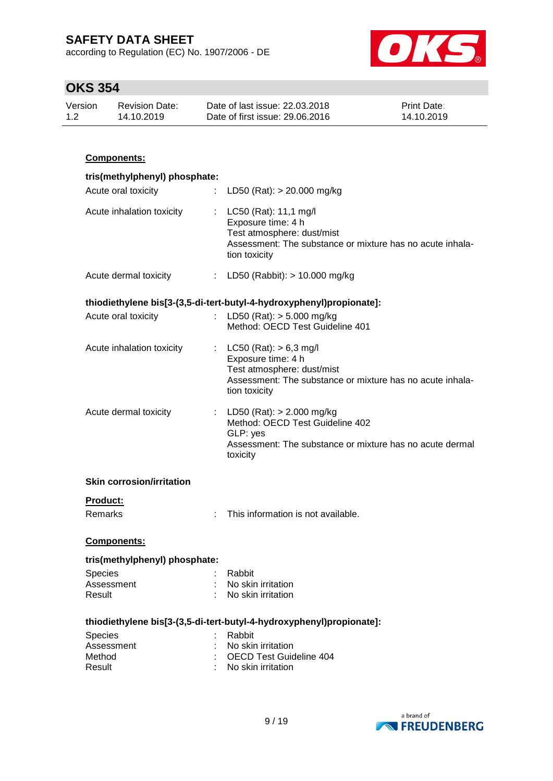according to Regulation (EC) No. 1907/2006 - DE



### **OKS 354**

| Version | <b>Revision Date:</b> | Date of last issue: 22.03.2018  | <b>Print Date:</b> |
|---------|-----------------------|---------------------------------|--------------------|
| 1.2     | 14.10.2019            | Date of first issue: 29,06,2016 | 14.10.2019         |

## **Components: tris(methylphenyl) phosphate:** Acute oral toxicity : LD50 (Rat): > 20.000 mg/kg Acute inhalation toxicity : LC50 (Rat): 11,1 mg/l Exposure time: 4 h Test atmosphere: dust/mist Assessment: The substance or mixture has no acute inhalation toxicity Acute dermal toxicity : LD50 (Rabbit): > 10.000 mg/kg **thiodiethylene bis[3-(3,5-di-tert-butyl-4-hydroxyphenyl)propionate]:** Acute oral toxicity : LD50 (Rat): > 5.000 mg/kg Method: OECD Test Guideline 401 Acute inhalation toxicity : LC50 (Rat): > 6,3 mg/l Exposure time: 4 h Test atmosphere: dust/mist Assessment: The substance or mixture has no acute inhalation toxicity Acute dermal toxicity : LD50 (Rat): > 2.000 mg/kg Method: OECD Test Guideline 402 GLP: yes Assessment: The substance or mixture has no acute dermal toxicity **Skin corrosion/irritation Product:** Remarks : This information is not available. **Components: tris(methylphenyl) phosphate:** Species : Rabbit Assessment : No skin irritation Result : No skin irritation **thiodiethylene bis[3-(3,5-di-tert-butyl-4-hydroxyphenyl)propionate]:** Species : Rabbit Assessment : No skin irritation Method : OECD Test Guideline 404 Result : No skin irritation

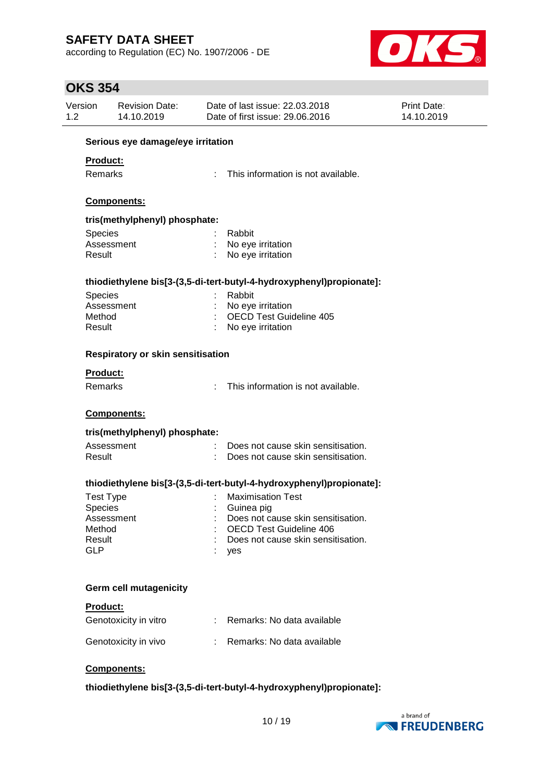according to Regulation (EC) No. 1907/2006 - DE



## **OKS 354**

| Version<br>1.2                    | <b>Revision Date:</b><br>14.10.2019      |   | Date of last issue: 22.03.2018<br>Date of first issue: 29.06.2016    | Print Date:<br>14.10.2019 |  |  |  |
|-----------------------------------|------------------------------------------|---|----------------------------------------------------------------------|---------------------------|--|--|--|
| Serious eye damage/eye irritation |                                          |   |                                                                      |                           |  |  |  |
| <b>Product:</b>                   |                                          |   |                                                                      |                           |  |  |  |
| Remarks                           |                                          | ÷ | This information is not available.                                   |                           |  |  |  |
|                                   |                                          |   |                                                                      |                           |  |  |  |
|                                   | Components:                              |   |                                                                      |                           |  |  |  |
|                                   | tris(methylphenyl) phosphate:            |   |                                                                      |                           |  |  |  |
| <b>Species</b>                    |                                          |   | Rabbit                                                               |                           |  |  |  |
|                                   | Assessment                               |   | No eye irritation                                                    |                           |  |  |  |
| Result                            |                                          |   | No eye irritation                                                    |                           |  |  |  |
|                                   |                                          |   | thiodiethylene bis[3-(3,5-di-tert-butyl-4-hydroxyphenyl)propionate]: |                           |  |  |  |
| Species                           |                                          |   | Rabbit                                                               |                           |  |  |  |
|                                   | Assessment                               |   | No eye irritation                                                    |                           |  |  |  |
| Method                            |                                          |   | <b>OECD Test Guideline 405</b>                                       |                           |  |  |  |
| Result                            |                                          |   | No eye irritation                                                    |                           |  |  |  |
|                                   | <b>Respiratory or skin sensitisation</b> |   |                                                                      |                           |  |  |  |
| Product:                          |                                          |   |                                                                      |                           |  |  |  |
| Remarks                           |                                          |   | : This information is not available.                                 |                           |  |  |  |
|                                   | Components:                              |   |                                                                      |                           |  |  |  |
|                                   | tris(methylphenyl) phosphate:            |   |                                                                      |                           |  |  |  |
|                                   | Assessment                               |   | Does not cause skin sensitisation.                                   |                           |  |  |  |
| Result                            |                                          |   | Does not cause skin sensitisation.                                   |                           |  |  |  |
|                                   |                                          |   | thiodiethylene bis[3-(3,5-di-tert-butyl-4-hydroxyphenyl)propionate]: |                           |  |  |  |
|                                   | <b>Test Type</b>                         |   | <b>Maximisation Test</b>                                             |                           |  |  |  |
| <b>Species</b>                    |                                          |   | Guinea pig                                                           |                           |  |  |  |
|                                   | Assessment                               |   | Does not cause skin sensitisation.                                   |                           |  |  |  |
| Method                            |                                          |   | <b>OECD Test Guideline 406</b>                                       |                           |  |  |  |
| Result                            |                                          |   | Does not cause skin sensitisation.                                   |                           |  |  |  |
| <b>GLP</b>                        |                                          |   | yes                                                                  |                           |  |  |  |
|                                   |                                          |   |                                                                      |                           |  |  |  |
|                                   | <b>Germ cell mutagenicity</b>            |   |                                                                      |                           |  |  |  |
| Product:                          |                                          |   |                                                                      |                           |  |  |  |
|                                   | Genotoxicity in vitro                    |   | Remarks: No data available                                           |                           |  |  |  |
|                                   | Genotoxicity in vivo                     |   | Remarks: No data available                                           |                           |  |  |  |
|                                   |                                          |   |                                                                      |                           |  |  |  |
|                                   | Components:                              |   |                                                                      |                           |  |  |  |
|                                   |                                          |   |                                                                      |                           |  |  |  |

**thiodiethylene bis[3-(3,5-di-tert-butyl-4-hydroxyphenyl)propionate]:**

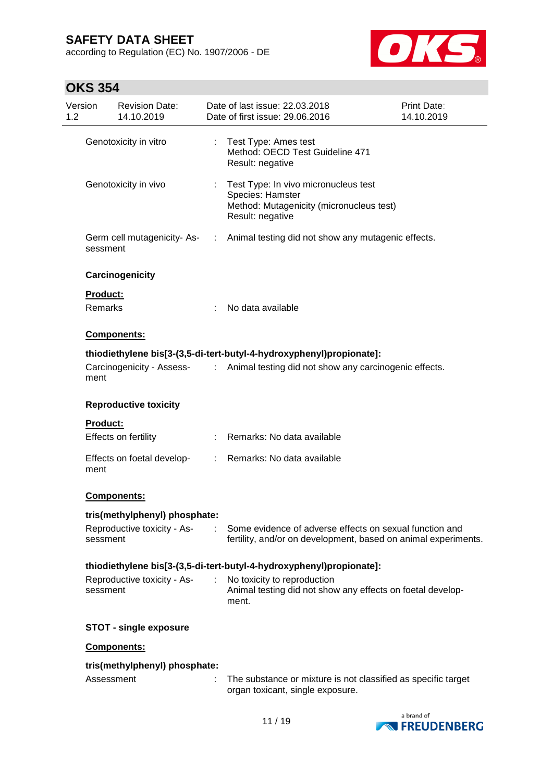according to Regulation (EC) No. 1907/2006 - DE



## **OKS 354**

| Version<br>1.2 | <b>Revision Date:</b><br>14.10.2019     | Date of last issue: 22.03.2018<br>Print Date:<br>Date of first issue: 29.06.2016<br>14.10.2019                                 |  |
|----------------|-----------------------------------------|--------------------------------------------------------------------------------------------------------------------------------|--|
|                | Genotoxicity in vitro                   | Test Type: Ames test<br>Method: OECD Test Guideline 471<br>Result: negative                                                    |  |
|                | Genotoxicity in vivo                    | Test Type: In vivo micronucleus test<br>÷.<br>Species: Hamster<br>Method: Mutagenicity (micronucleus test)<br>Result: negative |  |
|                | Germ cell mutagenicity-As-<br>sessment  | Animal testing did not show any mutagenic effects.<br>$\mathcal{L}$                                                            |  |
|                | Carcinogenicity                         |                                                                                                                                |  |
|                | Product:                                |                                                                                                                                |  |
|                | Remarks                                 | No data available                                                                                                              |  |
|                | <b>Components:</b>                      |                                                                                                                                |  |
|                |                                         | thiodiethylene bis[3-(3,5-di-tert-butyl-4-hydroxyphenyl)propionate]:                                                           |  |
|                | ment                                    | Carcinogenicity - Assess- : Animal testing did not show any carcinogenic effects.                                              |  |
|                | <b>Reproductive toxicity</b>            |                                                                                                                                |  |
|                | <b>Product:</b>                         |                                                                                                                                |  |
|                | Effects on fertility                    | Remarks: No data available                                                                                                     |  |
|                | Effects on foetal develop-<br>ment      | Remarks: No data available<br>$\mathcal{L}^{\mathcal{L}}$                                                                      |  |
|                | <b>Components:</b>                      |                                                                                                                                |  |
|                | tris(methylphenyl) phosphate:           |                                                                                                                                |  |
|                | Reproductive toxicity - As-<br>sessment | Some evidence of adverse effects on sexual function and<br>fertility, and/or on development, based on animal experiments.      |  |
|                |                                         | thiodiethylene bis[3-(3,5-di-tert-butyl-4-hydroxyphenyl)propionate]:                                                           |  |
|                | Reproductive toxicity - As-<br>sessment | No toxicity to reproduction<br>÷<br>Animal testing did not show any effects on foetal develop-<br>ment.                        |  |
|                | <b>STOT - single exposure</b>           |                                                                                                                                |  |
|                | Components:                             |                                                                                                                                |  |
|                | tris(methylphenyl) phosphate:           |                                                                                                                                |  |
|                | Assessment                              | The substance or mixture is not classified as specific target<br>organ toxicant, single exposure.                              |  |

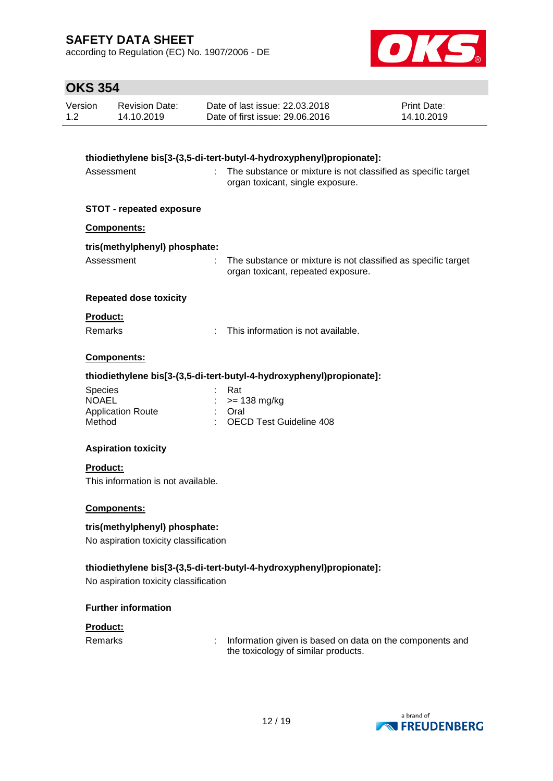according to Regulation (EC) No. 1907/2006 - DE



## **OKS 354**

| Date of last issue: 22,03,2018<br>Revision Date:<br>Version<br>Date of first issue: 29.06.2016<br>1.2<br>14.10.2019 | <b>Print Date:</b><br>14.10.2019 |
|---------------------------------------------------------------------------------------------------------------------|----------------------------------|
|---------------------------------------------------------------------------------------------------------------------|----------------------------------|

| thiodiethylene bis[3-(3,5-di-tert-butyl-4-hydroxyphenyl)propionate]: |                                                                                                     |  |  |  |  |
|----------------------------------------------------------------------|-----------------------------------------------------------------------------------------------------|--|--|--|--|
| ÷.<br>Assessment                                                     | The substance or mixture is not classified as specific target<br>organ toxicant, single exposure.   |  |  |  |  |
| <b>STOT - repeated exposure</b>                                      |                                                                                                     |  |  |  |  |
| Components:                                                          |                                                                                                     |  |  |  |  |
| tris(methylphenyl) phosphate:                                        |                                                                                                     |  |  |  |  |
| Assessment<br>÷.                                                     | The substance or mixture is not classified as specific target<br>organ toxicant, repeated exposure. |  |  |  |  |
| <b>Repeated dose toxicity</b>                                        |                                                                                                     |  |  |  |  |
| Product:                                                             |                                                                                                     |  |  |  |  |
| Remarks<br>÷                                                         | This information is not available.                                                                  |  |  |  |  |
| Components:                                                          |                                                                                                     |  |  |  |  |
|                                                                      | thiodiethylene bis[3-(3,5-di-tert-butyl-4-hydroxyphenyl)propionate]:                                |  |  |  |  |
| <b>Species</b><br><b>NOAEL</b>                                       | Rat<br>$>= 138$ mg/kg                                                                               |  |  |  |  |
| <b>Application Route</b>                                             | Oral                                                                                                |  |  |  |  |
| Method                                                               | <b>OECD Test Guideline 408</b>                                                                      |  |  |  |  |
| <b>Aspiration toxicity</b>                                           |                                                                                                     |  |  |  |  |
| Product:                                                             |                                                                                                     |  |  |  |  |
| This information is not available.                                   |                                                                                                     |  |  |  |  |
|                                                                      |                                                                                                     |  |  |  |  |
| Components:                                                          |                                                                                                     |  |  |  |  |
| tris(methylphenyl) phosphate:                                        |                                                                                                     |  |  |  |  |
| No aspiration toxicity classification                                |                                                                                                     |  |  |  |  |
| thiodiethylene bis[3-(3,5-di-tert-butyl-4-hydroxyphenyl)propionate]: |                                                                                                     |  |  |  |  |
| No aspiration toxicity classification                                |                                                                                                     |  |  |  |  |

#### **Further information**

**Product:**

Remarks : Information given is based on data on the components and the toxicology of similar products.

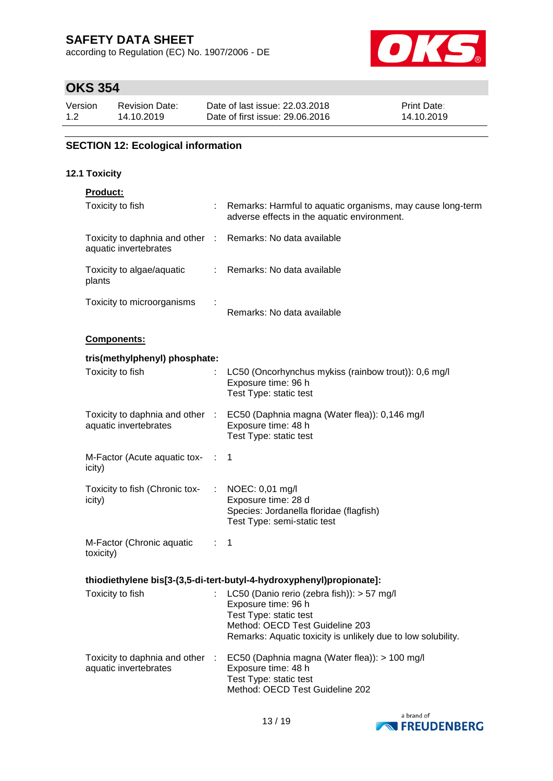according to Regulation (EC) No. 1907/2006 - DE



## **OKS 354**

| Version | <b>Revision Date:</b> | Date of last issue: 22,03,2018  | <b>Print Date:</b> |
|---------|-----------------------|---------------------------------|--------------------|
| 1.2     | 14.10.2019            | Date of first issue: 29,06,2016 | 14.10.2019         |

### **SECTION 12: Ecological information**

### **12.1 Toxicity**

|  | <b>Product:</b> |  |
|--|-----------------|--|
|  |                 |  |

| Toxicity to fish                                         |                | Remarks: Harmful to aquatic organisms, may cause long-term<br>adverse effects in the aquatic environment.                                                                                      |
|----------------------------------------------------------|----------------|------------------------------------------------------------------------------------------------------------------------------------------------------------------------------------------------|
| Toxicity to daphnia and other :<br>aquatic invertebrates |                | Remarks: No data available                                                                                                                                                                     |
| Toxicity to algae/aquatic<br>plants                      |                | : Remarks: No data available                                                                                                                                                                   |
| Toxicity to microorganisms                               |                | Remarks: No data available                                                                                                                                                                     |
| Components:                                              |                |                                                                                                                                                                                                |
| tris(methylphenyl) phosphate:                            |                |                                                                                                                                                                                                |
| Toxicity to fish                                         |                | LC50 (Oncorhynchus mykiss (rainbow trout)): 0,6 mg/l<br>Exposure time: 96 h<br>Test Type: static test                                                                                          |
| Toxicity to daphnia and other :<br>aquatic invertebrates |                | EC50 (Daphnia magna (Water flea)): 0,146 mg/l<br>Exposure time: 48 h<br>Test Type: static test                                                                                                 |
| M-Factor (Acute aquatic tox-<br>icity)                   |                | 1                                                                                                                                                                                              |
| Toxicity to fish (Chronic tox-<br>icity)                 |                | : NOEC: $0,01 \text{ mg/l}$<br>Exposure time: 28 d<br>Species: Jordanella floridae (flagfish)<br>Test Type: semi-static test                                                                   |
| M-Factor (Chronic aquatic<br>toxicity)                   | $\mathbb{R}^n$ | 1                                                                                                                                                                                              |
|                                                          |                | thiodiethylene bis[3-(3,5-di-tert-butyl-4-hydroxyphenyl)propionate]:                                                                                                                           |
| Toxicity to fish                                         |                | LC50 (Danio rerio (zebra fish)): > 57 mg/l<br>Exposure time: 96 h<br>Test Type: static test<br>Method: OECD Test Guideline 203<br>Remarks: Aquatic toxicity is unlikely due to low solubility. |
| Toxicity to daphnia and other<br>aquatic invertebrates   |                | EC50 (Daphnia magna (Water flea)): > 100 mg/l<br>Exposure time: 48 h<br>Test Type: static test<br>Method: OECD Test Guideline 202                                                              |

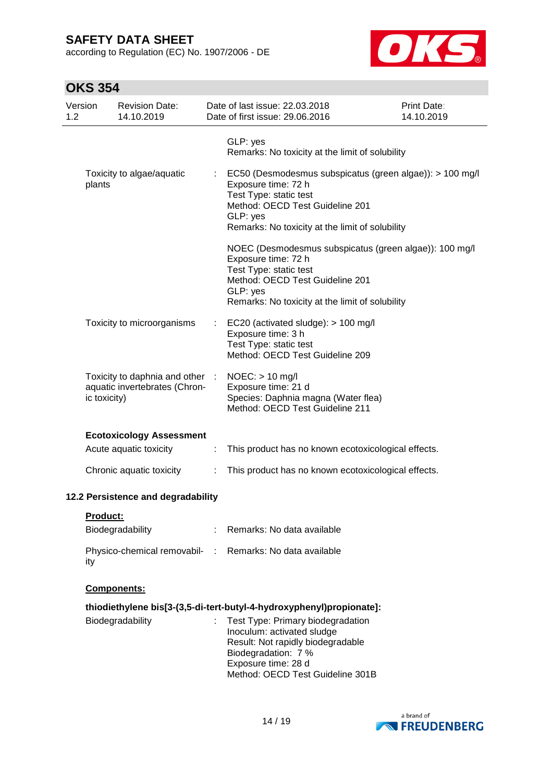according to Regulation (EC) No. 1907/2006 - DE



| <b>OKS 354</b> |  |
|----------------|--|
|----------------|--|

| Version<br>1.2 |              | <b>Revision Date:</b><br>14.10.2019                              |   | Date of last issue: 22.03.2018<br>Date of first issue: 29.06.2016                                                                                                                                             | <b>Print Date:</b><br>14.10.2019 |
|----------------|--------------|------------------------------------------------------------------|---|---------------------------------------------------------------------------------------------------------------------------------------------------------------------------------------------------------------|----------------------------------|
|                |              |                                                                  |   | GLP: yes<br>Remarks: No toxicity at the limit of solubility                                                                                                                                                   |                                  |
|                | plants       | Toxicity to algae/aquatic                                        |   | : EC50 (Desmodesmus subspicatus (green algae)): > 100 mg/l<br>Exposure time: 72 h<br>Test Type: static test<br>Method: OECD Test Guideline 201<br>GLP: yes<br>Remarks: No toxicity at the limit of solubility |                                  |
|                |              |                                                                  |   | NOEC (Desmodesmus subspicatus (green algae)): 100 mg/l<br>Exposure time: 72 h<br>Test Type: static test<br>Method: OECD Test Guideline 201<br>GLP: yes<br>Remarks: No toxicity at the limit of solubility     |                                  |
|                |              | Toxicity to microorganisms                                       |   | EC20 (activated sludge): > 100 mg/l<br>Exposure time: 3 h<br>Test Type: static test<br>Method: OECD Test Guideline 209                                                                                        |                                  |
|                | ic toxicity) | Toxicity to daphnia and other :<br>aquatic invertebrates (Chron- |   | $NOEC:$ > 10 mg/l<br>Exposure time: 21 d<br>Species: Daphnia magna (Water flea)<br>Method: OECD Test Guideline 211                                                                                            |                                  |
|                |              | <b>Ecotoxicology Assessment</b>                                  |   |                                                                                                                                                                                                               |                                  |
|                |              | Acute aquatic toxicity                                           | ÷ | This product has no known ecotoxicological effects.                                                                                                                                                           |                                  |
|                |              | Chronic aquatic toxicity                                         | ÷ | This product has no known ecotoxicological effects.                                                                                                                                                           |                                  |
|                |              | 12.2 Persistence and degradability                               |   |                                                                                                                                                                                                               |                                  |
|                | Product:     |                                                                  |   |                                                                                                                                                                                                               |                                  |
|                |              | Biodegradability                                                 |   | Remarks: No data available                                                                                                                                                                                    |                                  |
|                | ity          |                                                                  |   | Physico-chemical removabil- : Remarks: No data available                                                                                                                                                      |                                  |
|                |              | <b>Components:</b>                                               |   |                                                                                                                                                                                                               |                                  |
|                |              |                                                                  |   | thiodiethylene bis[3-(3,5-di-tert-butyl-4-hydroxyphenyl)propionate]:                                                                                                                                          |                                  |
|                |              | Biodegradability                                                 | ÷ | Test Type: Primary biodegradation<br>Inoculum: activated sludge<br>Result: Not rapidly biodegradable<br>Biodegradation: 7 %<br>Exposure time: 28 d<br>Method: OECD Test Guideline 301B                        |                                  |

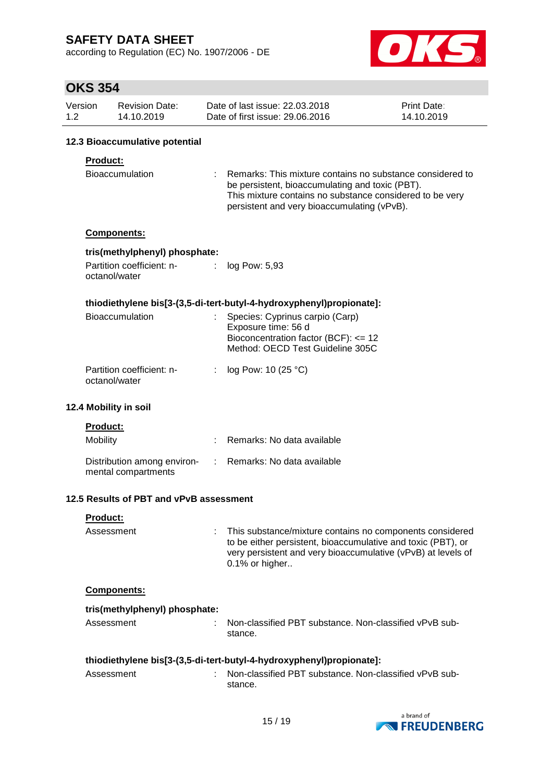according to Regulation (EC) No. 1907/2006 - DE



## $\overline{\phantom{a}}$

|                | <b>OKS 354</b> |                                                    |    |                                                                                                                                                                                                                         |                                  |
|----------------|----------------|----------------------------------------------------|----|-------------------------------------------------------------------------------------------------------------------------------------------------------------------------------------------------------------------------|----------------------------------|
| Version<br>1.2 |                | <b>Revision Date:</b><br>14.10.2019                |    | Date of last issue: 22.03.2018<br>Date of first issue: 29.06.2016                                                                                                                                                       | <b>Print Date:</b><br>14.10.2019 |
|                |                | 12.3 Bioaccumulative potential                     |    |                                                                                                                                                                                                                         |                                  |
|                | Product:       | <b>Bioaccumulation</b>                             |    | Remarks: This mixture contains no substance considered to<br>be persistent, bioaccumulating and toxic (PBT).<br>This mixture contains no substance considered to be very<br>persistent and very bioaccumulating (vPvB). |                                  |
|                |                | Components:                                        |    |                                                                                                                                                                                                                         |                                  |
|                |                | tris(methylphenyl) phosphate:                      |    |                                                                                                                                                                                                                         |                                  |
|                |                | Partition coefficient: n-<br>octanol/water         | ÷. | log Pow: 5,93                                                                                                                                                                                                           |                                  |
|                |                |                                                    |    | thiodiethylene bis[3-(3,5-di-tert-butyl-4-hydroxyphenyl)propionate]:                                                                                                                                                    |                                  |
|                |                | Bioaccumulation                                    |    | Species: Cyprinus carpio (Carp)<br>Exposure time: 56 d<br>Bioconcentration factor (BCF): <= 12<br>Method: OECD Test Guideline 305C                                                                                      |                                  |
|                |                | Partition coefficient: n-<br>octanol/water         | ÷  | log Pow: 10 (25 °C)                                                                                                                                                                                                     |                                  |
|                |                | 12.4 Mobility in soil                              |    |                                                                                                                                                                                                                         |                                  |
|                | Product:       |                                                    |    |                                                                                                                                                                                                                         |                                  |
|                | Mobility       |                                                    |    | Remarks: No data available                                                                                                                                                                                              |                                  |
|                |                | Distribution among environ-<br>mental compartments |    | Remarks: No data available                                                                                                                                                                                              |                                  |
|                |                | 12.5 Results of PBT and vPvB assessment            |    |                                                                                                                                                                                                                         |                                  |
|                | Product:       |                                                    |    |                                                                                                                                                                                                                         |                                  |
|                | Assessment     |                                                    |    | This substance/mixture contains no components considered<br>to be either persistent, bioaccumulative and toxic (PBT), or<br>very persistent and very bioaccumulative (vPvB) at levels of<br>0.1% or higher              |                                  |
|                |                | Components:                                        |    |                                                                                                                                                                                                                         |                                  |
|                |                | tris(methylphenyl) phosphate:                      |    |                                                                                                                                                                                                                         |                                  |
|                | Assessment     |                                                    |    | Non-classified PBT substance. Non-classified vPvB sub-<br>stance.                                                                                                                                                       |                                  |
|                |                |                                                    |    | thiodiethylene bis[3-(3,5-di-tert-butyl-4-hydroxyphenyl)propionate]:                                                                                                                                                    |                                  |
|                | Assessment     |                                                    |    | Non-classified PBT substance. Non-classified vPvB sub-                                                                                                                                                                  |                                  |



stance.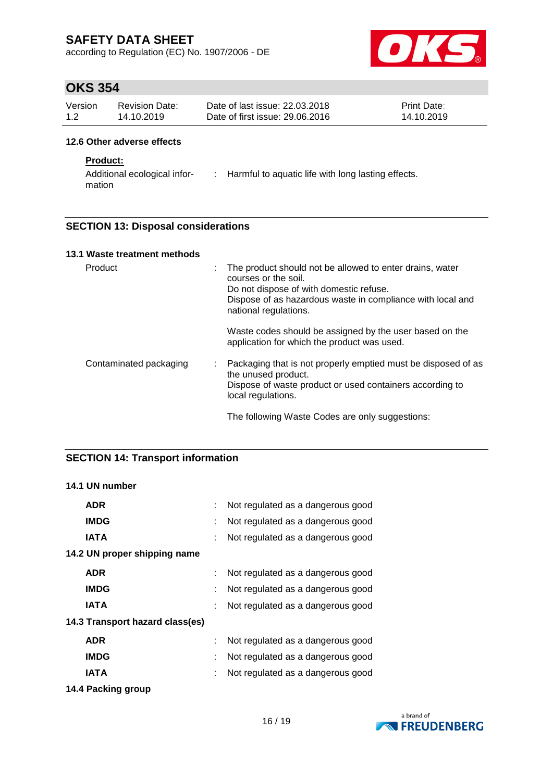according to Regulation (EC) No. 1907/2006 - DE



### **OKS 354**

| Version | Revision Date: | Date of last issue: 22.03.2018  | <b>Print Date:</b> |
|---------|----------------|---------------------------------|--------------------|
| 1.2     | 14.10.2019     | Date of first issue: 29.06.2016 | 14.10.2019         |

#### **12.6 Other adverse effects**

#### **Product:**

Additional ecological infor-: Harmful to aquatic life with long lasting effects. mation

#### **SECTION 13: Disposal considerations**

| 13.1 Waste treatment methods |                                                                                                                                                                                                                         |
|------------------------------|-------------------------------------------------------------------------------------------------------------------------------------------------------------------------------------------------------------------------|
| Product                      | The product should not be allowed to enter drains, water<br>÷<br>courses or the soil.<br>Do not dispose of with domestic refuse.<br>Dispose of as hazardous waste in compliance with local and<br>national regulations. |
|                              | Waste codes should be assigned by the user based on the<br>application for which the product was used.                                                                                                                  |
| Contaminated packaging       | Packaging that is not properly emptied must be disposed of as<br>the unused product.<br>Dispose of waste product or used containers according to<br>local regulations.                                                  |
|                              | The following Waste Codes are only suggestions:                                                                                                                                                                         |

#### **SECTION 14: Transport information**

#### **14.1 UN number**

| <b>ADR</b>                      |    | Not regulated as a dangerous good |
|---------------------------------|----|-----------------------------------|
| <b>IMDG</b>                     |    | Not regulated as a dangerous good |
| <b>IATA</b>                     |    | Not regulated as a dangerous good |
| 14.2 UN proper shipping name    |    |                                   |
| <b>ADR</b>                      |    | Not regulated as a dangerous good |
| <b>IMDG</b>                     | ÷  | Not regulated as a dangerous good |
| IATA                            |    | Not regulated as a dangerous good |
| 14.3 Transport hazard class(es) |    |                                   |
| <b>ADR</b>                      |    | Not regulated as a dangerous good |
| <b>IMDG</b>                     |    | Not regulated as a dangerous good |
| IATA                            | ÷. | Not regulated as a dangerous good |
|                                 |    |                                   |

**14.4 Packing group**

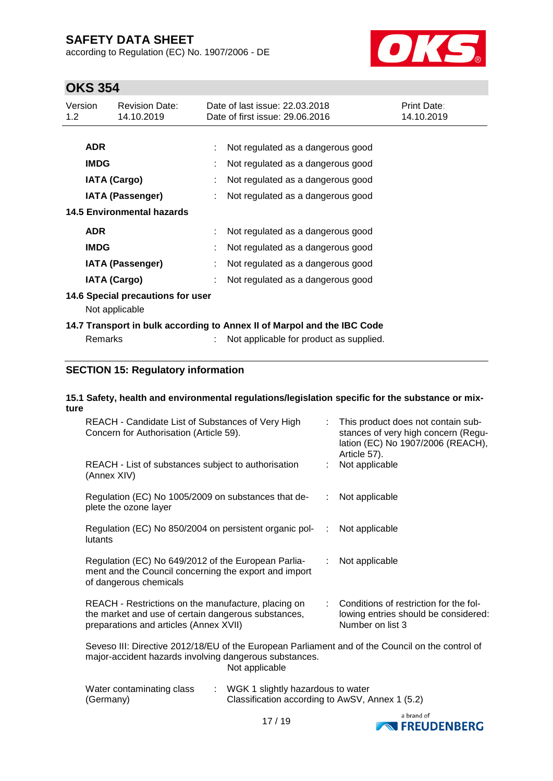according to Regulation (EC) No. 1907/2006 - DE



## **OKS 354**

| Version<br>1.2                                      | <b>Revision Date:</b><br>14.10.2019 |  | Date of last issue: 22.03.2018<br>Date of first issue: 29.06.2016       | <b>Print Date:</b><br>14.10.2019 |  |
|-----------------------------------------------------|-------------------------------------|--|-------------------------------------------------------------------------|----------------------------------|--|
|                                                     |                                     |  |                                                                         |                                  |  |
|                                                     | <b>ADR</b>                          |  | Not regulated as a dangerous good                                       |                                  |  |
|                                                     | <b>IMDG</b>                         |  | Not regulated as a dangerous good                                       |                                  |  |
|                                                     | <b>IATA (Cargo)</b>                 |  | Not regulated as a dangerous good                                       |                                  |  |
|                                                     | IATA (Passenger)                    |  | Not regulated as a dangerous good                                       |                                  |  |
|                                                     | <b>14.5 Environmental hazards</b>   |  |                                                                         |                                  |  |
|                                                     | <b>ADR</b>                          |  | Not regulated as a dangerous good                                       |                                  |  |
|                                                     | <b>IMDG</b>                         |  | Not regulated as a dangerous good                                       |                                  |  |
|                                                     | <b>IATA (Passenger)</b>             |  | Not regulated as a dangerous good                                       |                                  |  |
|                                                     | <b>IATA (Cargo)</b>                 |  | Not regulated as a dangerous good                                       |                                  |  |
| 14.6 Special precautions for user<br>Not applicable |                                     |  |                                                                         |                                  |  |
|                                                     |                                     |  | 14.7 Transport in bulk according to Annex II of Marpol and the IBC Code |                                  |  |
|                                                     | <b>Remarks</b>                      |  | Not applicable for product as supplied.                                 |                                  |  |
|                                                     |                                     |  |                                                                         |                                  |  |

#### **SECTION 15: Regulatory information**

#### **15.1 Safety, health and environmental regulations/legislation specific for the substance or mixture**

| REACH - Candidate List of Substances of Very High<br>Concern for Authorisation (Article 59).                                                                                 |           | This product does not contain sub-<br>stances of very high concern (Regu-<br>lation (EC) No 1907/2006 (REACH),<br>Article 57). |  |  |  |
|------------------------------------------------------------------------------------------------------------------------------------------------------------------------------|-----------|--------------------------------------------------------------------------------------------------------------------------------|--|--|--|
| REACH - List of substances subject to authorisation<br>(Annex XIV)                                                                                                           |           | Not applicable                                                                                                                 |  |  |  |
| Regulation (EC) No 1005/2009 on substances that de-<br>plete the ozone layer                                                                                                 | ÷.        | Not applicable                                                                                                                 |  |  |  |
| Regulation (EC) No 850/2004 on persistent organic pol-<br>lutants                                                                                                            | $\sim 10$ | Not applicable                                                                                                                 |  |  |  |
| Regulation (EC) No 649/2012 of the European Parlia-<br>ment and the Council concerning the export and import<br>of dangerous chemicals                                       | ÷.        | Not applicable                                                                                                                 |  |  |  |
| REACH - Restrictions on the manufacture, placing on<br>the market and use of certain dangerous substances,<br>preparations and articles (Annex XVII)                         |           | Conditions of restriction for the fol-<br>lowing entries should be considered:<br>Number on list 3                             |  |  |  |
| Seveso III: Directive 2012/18/EU of the European Parliament and of the Council on the control of<br>major-accident hazards involving dangerous substances.<br>Not applicable |           |                                                                                                                                |  |  |  |
| Water contaminating class<br>: WGK 1 slightly hazardous to water<br>Classification according to AwSV, Annex 1 (5.2)<br>(Germany)                                             |           |                                                                                                                                |  |  |  |

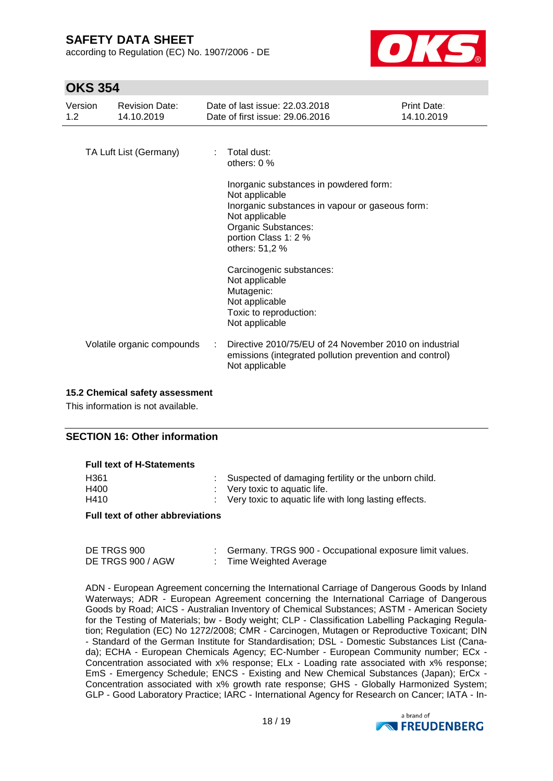according to Regulation (EC) No. 1907/2006 - DE



### **OKS 354**

| Version<br>1.2 | <b>Revision Date:</b><br>14.10.2019 | Date of last issue: 22.03.2018<br>Date of first issue: 29,06,2016                                                                                                                              | <b>Print Date:</b><br>14.10.2019 |
|----------------|-------------------------------------|------------------------------------------------------------------------------------------------------------------------------------------------------------------------------------------------|----------------------------------|
|                | TA Luft List (Germany)              | $:$ Total dust:<br>others: $0\%$                                                                                                                                                               |                                  |
|                |                                     | Inorganic substances in powdered form:<br>Not applicable<br>Inorganic substances in vapour or gaseous form:<br>Not applicable<br>Organic Substances:<br>portion Class 1: 2 %<br>others: 51,2 % |                                  |
|                |                                     | Carcinogenic substances:<br>Not applicable<br>Mutagenic:<br>Not applicable<br>Toxic to reproduction:<br>Not applicable                                                                         |                                  |
|                | Volatile organic compounds          | Directive 2010/75/EU of 24 November 2010 on industrial<br>emissions (integrated pollution prevention and control)<br>Not applicable                                                            |                                  |

#### **15.2 Chemical safety assessment**

This information is not available.

#### **SECTION 16: Other information**

#### **Full text of H-Statements**

| H361 | : Suspected of damaging fertility or the unborn child.  |
|------|---------------------------------------------------------|
| H400 | $\therefore$ Very toxic to aquatic life.                |
| H410 | : Very toxic to aquatic life with long lasting effects. |

#### **Full text of other abbreviations**

| DE TRGS 900       | Germany. TRGS 900 - Occupational exposure limit values. |
|-------------------|---------------------------------------------------------|
| DE TRGS 900 / AGW | Time Weighted Average                                   |

ADN - European Agreement concerning the International Carriage of Dangerous Goods by Inland Waterways; ADR - European Agreement concerning the International Carriage of Dangerous Goods by Road; AICS - Australian Inventory of Chemical Substances; ASTM - American Society for the Testing of Materials; bw - Body weight; CLP - Classification Labelling Packaging Regulation; Regulation (EC) No 1272/2008; CMR - Carcinogen, Mutagen or Reproductive Toxicant; DIN - Standard of the German Institute for Standardisation; DSL - Domestic Substances List (Canada); ECHA - European Chemicals Agency; EC-Number - European Community number; ECx - Concentration associated with x% response; ELx - Loading rate associated with x% response; EmS - Emergency Schedule; ENCS - Existing and New Chemical Substances (Japan); ErCx - Concentration associated with x% growth rate response; GHS - Globally Harmonized System; GLP - Good Laboratory Practice; IARC - International Agency for Research on Cancer; IATA - In-